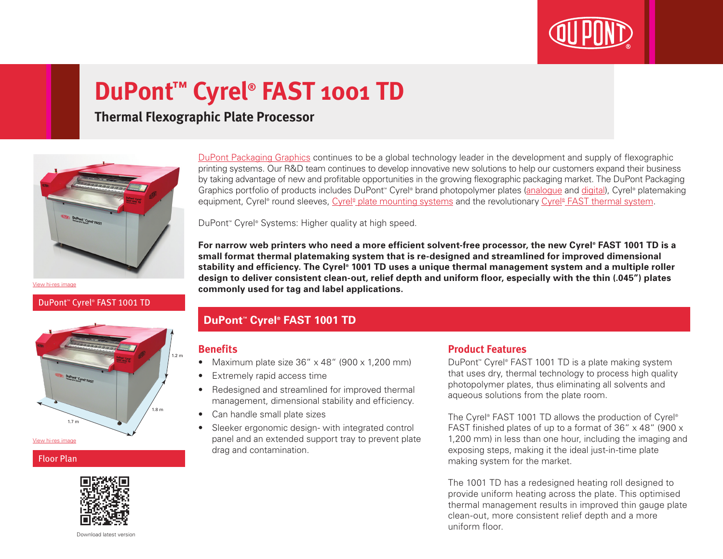

# **DuPont™ Cyrel® FAST 1001 TD**

**Thermal Flexographic Plate Processor**



[View hi-res image](http://www.dupont.com/content/dam/assets/products-and-services/printing-package-printing/PG/images/EDS-Cyrel-FAST-1001TD.jpg)

#### DuPont™ Cyrel® FAST 1001 TD



#### Floor Plan



[DuPont Packaging Graphics](http://www2.dupont.com/Packaging_Graphics/en_AU/index.html) continues to be a global technology leader in the development and supply of flexographic printing systems. Our R&D team continues to develop innovative new solutions to help our customers expand their business by taking advantage of new and profitable opportunities in the growing flexographic packaging market. The DuPont Packaging Graphics portfolio of products includes DuPont<sup>™</sup> Cyrel® brand photopolymer plates ([analogu](http://www2.dupont.com/Packaging_Graphics/en_AU/products/solvent_platemaking/index.html)e and [digital\)](http://www2.dupont.com/Packaging_Graphics/en_AU/products/digital_wkflow/digital_workflow.html), Cyrel® platemaking equipment, Cyrel® round sleeves, Cyrel® [plate mounting systems](http://www2.dupont.com/Packaging_Graphics/en_AU/products/mounting_systems/index.html) and the revolutionary Cyrel® [FAST thermal system.](http://www2.dupont.com/Packaging_Graphics/en_AU/products/thermal_platemaking/index.html)

DuPont™ Cyrel® Systems: Higher quality at high speed.

**For narrow web printers who need a more efficient solvent-free processor, the new Cyrel® FAST 1001 TD is a small format thermal platemaking system that is re-designed and streamlined for improved dimensional stability and efficiency. The Cyrel® 1001 TD uses a unique thermal management system and a multiple roller design to deliver consistent clean-out, relief depth and uniform floor, especially with the thin (.045") plates commonly used for tag and label applications.**

#### **DuPont™ Cyrel® FAST 1001 TD**

#### **Benefits**

- Maximum plate size  $36'' \times 48''$  (900  $\times$  1,200 mm)
- Extremely rapid access time
- Redesigned and streamlined for improved thermal management, dimensional stability and efficiency.
- Can handle small plate sizes
- Sleeker ergonomic design- with integrated control panel and an extended support tray to prevent plate drag and contamination.

#### **Product Features**

DuPont™ Cyrel® FAST 1001 TD is a plate making system that uses dry, thermal technology to process high quality photopolymer plates, thus eliminating all solvents and aqueous solutions from the plate room.

The Cyrel® FAST 1001 TD allows the production of Cyrel® FAST finished plates of up to a format of 36"  $\times$  48" (900  $\times$ 1,200 mm) in less than one hour, including the imaging and exposing steps, making it the ideal just-in-time plate making system for the market.

The 1001 TD has a redesigned heating roll designed to provide uniform heating across the plate. This optimised thermal management results in improved thin gauge plate clean-out, more consistent relief depth and a more uniform floor.

Download latest version